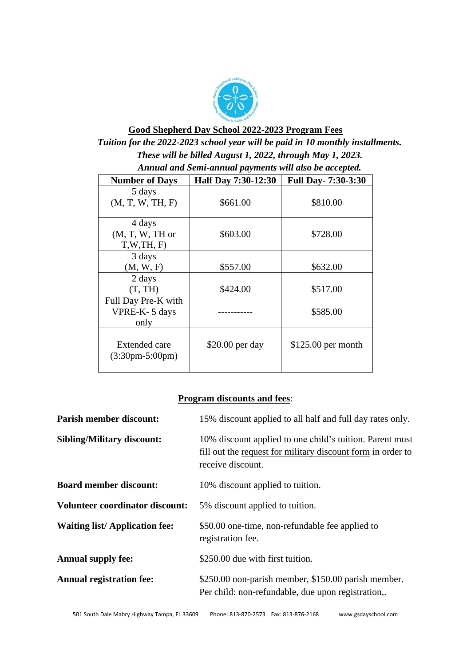

# **Good Shepherd Day School 2022-2023 Program Fees** *Tuition for the 2022-2023 school year will be paid in 10 monthly installments. These will be billed August 1, 2022, through May 1, 2023.*

| Annual and Semi-annual payments will also be accepted.      |                     |                           |  |
|-------------------------------------------------------------|---------------------|---------------------------|--|
| <b>Number of Days</b>                                       | Half Day 7:30-12:30 | <b>Full Day-7:30-3:30</b> |  |
| 5 days<br>(M, T, W, TH, F)                                  | \$661.00            | \$810.00                  |  |
| 4 days<br>$(M, T, W, TH)$ or<br>T,W,TH, F                   | \$603.00            | \$728.00                  |  |
| 3 days<br>(M, W, F)                                         | \$557.00            | \$632.00                  |  |
| 2 days<br>(T, TH)                                           | \$424.00            | \$517.00                  |  |
| Full Day Pre-K with<br>VPRE-K- 5 days<br>only               |                     | \$585.00                  |  |
| <b>Extended care</b><br>$(3:30 \text{pm} - 5:00 \text{pm})$ | \$20.00 per day     | $$125.00$ per month       |  |

## **Program discounts and fees**:

| <b>Parish member discount:</b>         | 15% discount applied to all half and full day rates only.                                                                                    |  |
|----------------------------------------|----------------------------------------------------------------------------------------------------------------------------------------------|--|
| <b>Sibling/Military discount:</b>      | 10% discount applied to one child's tuition. Parent must<br>fill out the request for military discount form in order to<br>receive discount. |  |
| <b>Board member discount:</b>          | 10% discount applied to tuition.                                                                                                             |  |
| <b>Volunteer coordinator discount:</b> | 5% discount applied to tuition.                                                                                                              |  |
| <b>Waiting list/Application fee:</b>   | \$50.00 one-time, non-refundable fee applied to<br>registration fee.                                                                         |  |
| <b>Annual supply fee:</b>              | \$250.00 due with first tuition.                                                                                                             |  |
| <b>Annual registration fee:</b>        | \$250.00 non-parish member, \$150.00 parish member.<br>Per child: non-refundable, due upon registration,.                                    |  |